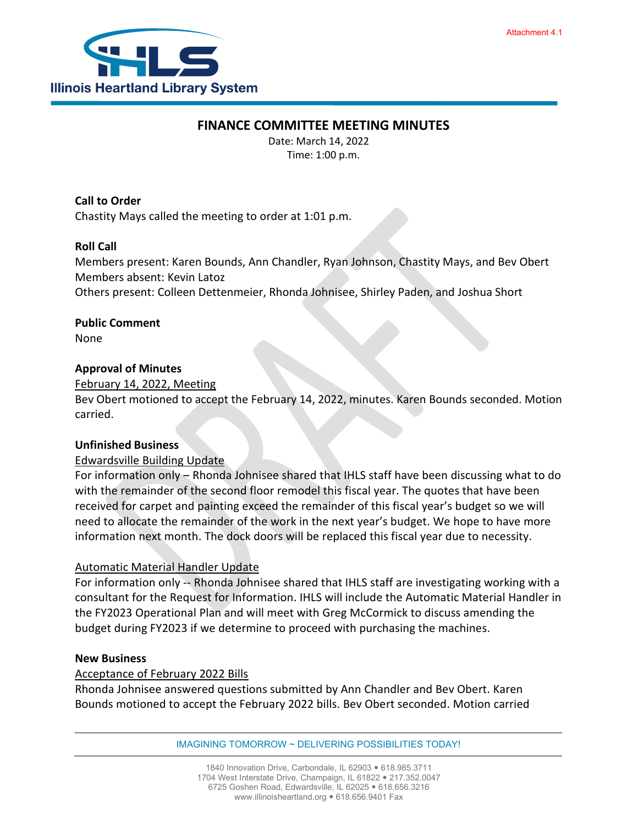

## **FINANCE COMMITTEE MEETING MINUTES**

Date: March 14, 2022 Time: 1:00 p.m.

**Call to Order** Chastity Mays called the meeting to order at 1:01 p.m.

## **Roll Call**

Members present: Karen Bounds, Ann Chandler, Ryan Johnson, Chastity Mays, and Bev Obert Members absent: Kevin Latoz Others present: Colleen Dettenmeier, Rhonda Johnisee, Shirley Paden, and Joshua Short

# **Public Comment**

None

## **Approval of Minutes**

### February 14, 2022, Meeting

Bev Obert motioned to accept the February 14, 2022, minutes. Karen Bounds seconded. Motion carried.

### **Unfinished Business**

### Edwardsville Building Update

For information only – Rhonda Johnisee shared that IHLS staff have been discussing what to do with the remainder of the second floor remodel this fiscal year. The quotes that have been received for carpet and painting exceed the remainder of this fiscal year's budget so we will need to allocate the remainder of the work in the next year's budget. We hope to have more information next month. The dock doors will be replaced this fiscal year due to necessity.

## Automatic Material Handler Update

For information only -- Rhonda Johnisee shared that IHLS staff are investigating working with a consultant for the Request for Information. IHLS will include the Automatic Material Handler in the FY2023 Operational Plan and will meet with Greg McCormick to discuss amending the budget during FY2023 if we determine to proceed with purchasing the machines.

## **New Business**

### Acceptance of February 2022 Bills

Rhonda Johnisee answered questions submitted by Ann Chandler and Bev Obert. Karen Bounds motioned to accept the February 2022 bills. Bev Obert seconded. Motion carried

IMAGINING TOMORROW ~ DELIVERING POSSIBILITIES TODAY!